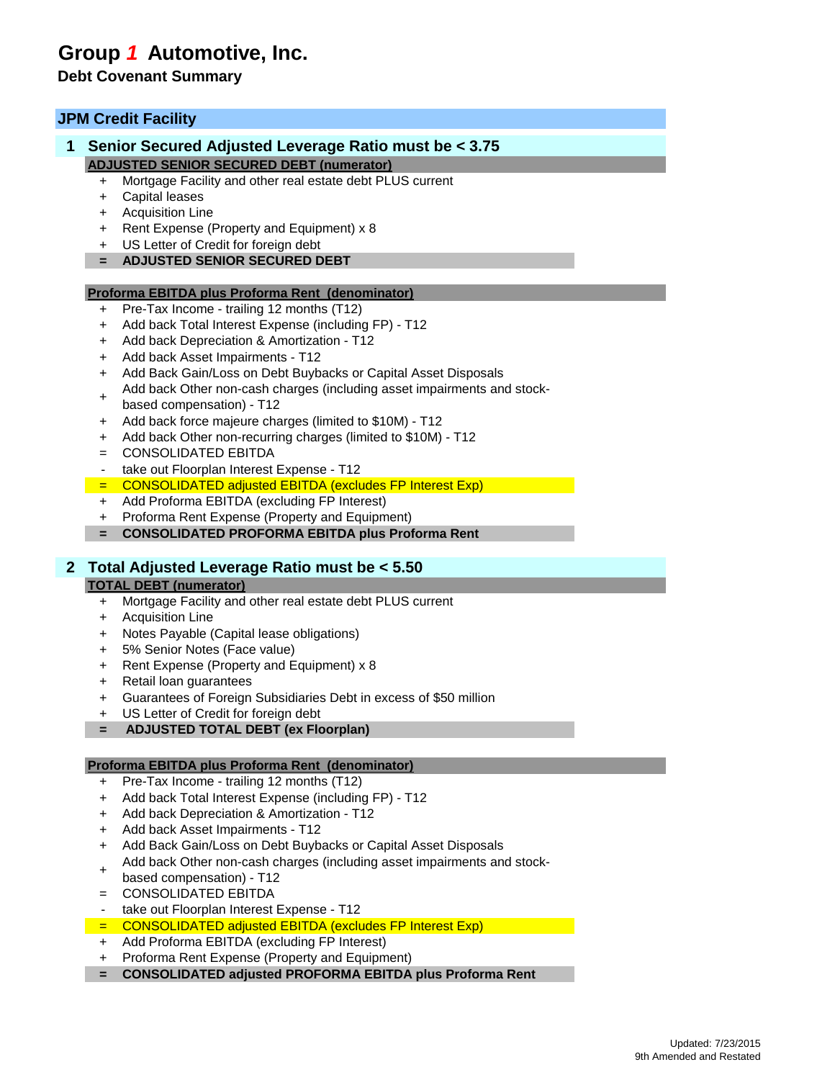# **Group** *1* **Automotive, Inc.**

# **Debt Covenant Summary**

## **JPM Credit Facility**

## **1 Senior Secured Adjusted Leverage Ratio must be < 3.75 ADJUSTED SENIOR SECURED DEBT (numerator)**

- + Mortgage Facility and other real estate debt PLUS current
- + Capital leases
- + Acquisition Line
- + Rent Expense (Property and Equipment) x 8
- + US Letter of Credit for foreign debt
- **= ADJUSTED SENIOR SECURED DEBT**

### **Proforma EBITDA plus Proforma Rent (denominator)**

- Pre-Tax Income trailing 12 months (T12)
- + Add back Total Interest Expense (including FP) T12
- + Add back Depreciation & Amortization T12
- + Add back Asset Impairments T12
- + Add Back Gain/Loss on Debt Buybacks or Capital Asset Disposals
- Add back Other non-cash charges (including asset impairments and stock-
- + based compensation) - T12
- + Add back force majeure charges (limited to \$10M) T12
- + Add back Other non-recurring charges (limited to \$10M) T12
- = CONSOLIDATED EBITDA
- take out Floorplan Interest Expense T12
- = CONSOLIDATED adjusted EBITDA (excludes FP Interest Exp)
- + Add Proforma EBITDA (excluding FP Interest)
- + Proforma Rent Expense (Property and Equipment)
- **= CONSOLIDATED PROFORMA EBITDA plus Proforma Rent**

### **2 Total Adjusted Leverage Ratio must be < 5.50**

#### **TOTAL DEBT (numerator)**

- + Mortgage Facility and other real estate debt PLUS current
- + Acquisition Line
- + Notes Payable (Capital lease obligations)
- + 5% Senior Notes (Face value)
- + Rent Expense (Property and Equipment) x 8
- + Retail loan guarantees
- + Guarantees of Foreign Subsidiaries Debt in excess of \$50 million
- + US Letter of Credit for foreign debt
- **= ADJUSTED TOTAL DEBT (ex Floorplan)**

### **Proforma EBITDA plus Proforma Rent (denominator)**

- + Pre-Tax Income trailing 12 months (T12)
- + Add back Total Interest Expense (including FP) T12
- + Add back Depreciation & Amortization T12
- + Add back Asset Impairments T12
- + Add Back Gain/Loss on Debt Buybacks or Capital Asset Disposals
- + Add back Other non-cash charges (including asset impairments and stock-
- based compensation) T12
- = CONSOLIDATED EBITDA
- take out Floorplan Interest Expense T12
- = CONSOLIDATED adjusted EBITDA (excludes FP Interest Exp)
- + Add Proforma EBITDA (excluding FP Interest)
- + Proforma Rent Expense (Property and Equipment)
- **= CONSOLIDATED adjusted PROFORMA EBITDA plus Proforma Rent**